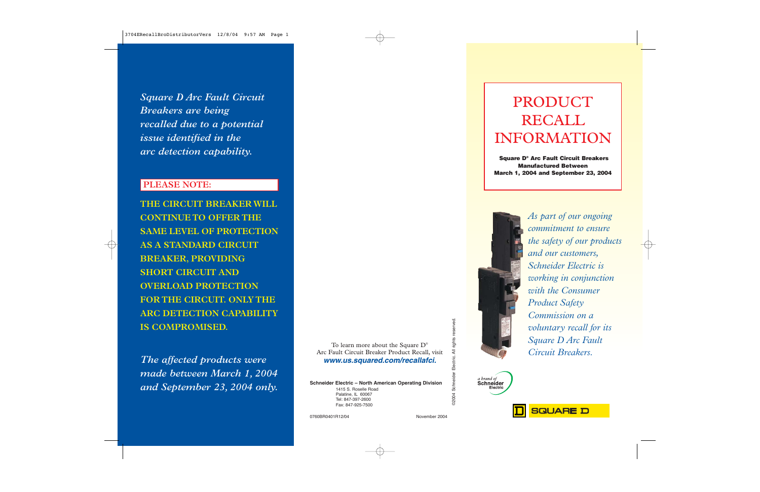*Square D Arc Fault Circuit Breakers are being recalled due to a potential issue identified in the arc detection capability.*

## **PLEASE NOTE:**

**THE CIRCUIT BREAKER WILL CONTINUE TO OFFER THE SAME LEVEL OF PROTECTION AS A STANDARD CIRCUIT BREAKER, PROVIDING SHORT CIRCUIT AND OVERLOAD PROTECTION FOR THE CIRCUIT. ONLY THE ARC DETECTION CAPABILITY IS COMPROMISED.**

*The affected products were made between March 1, 2004 and September 23, 2004 only.*

To learn more about the Square D® Arc Fault Circuit Breaker Product Recall, visit **www.us.squared.com/recallafci.**

**Schneider Electric – North American Operating Division** 1415 S. Roselle Road Palatine, IL 60067 Tel: 847-397-2600 Fax: 847-925-7500

©2004 Schneider Electric. All rights reserved. reserved. rights Electric. All Schneider **D2004** 

# PRODUCT RECALL INFORMATION

**Square D® Arc Fault Circuit Breakers Manufactured Between March 1, 2004 and September 23, 2004** 



*As part of our ongoing commitment to ensure the safety of our products and our customers, Schneider Electric is working in conjunction with the Consumer Product Safety Commission on a voluntary recall for its Square D Arc Fault Circuit Breakers.*





0760BR0401R12/04 November 2004